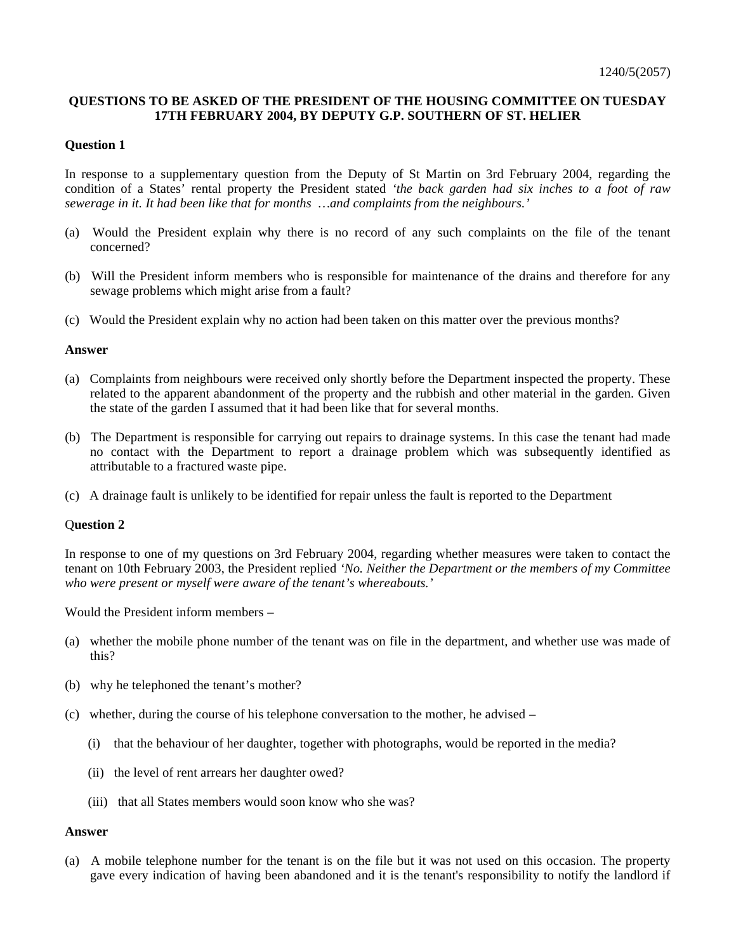# **QUESTIONS TO BE ASKED OF THE PRESIDENT OF THE HOUSING COMMITTEE ON TUESDAY 17TH FEBRUARY 2004, BY DEPUTY G.P. SOUTHERN OF ST. HELIER**

## **Question 1**

In response to a supplementary question from the Deputy of St Martin on 3rd February 2004, regarding the condition of a States' rental property the President stated *'the back garden had six inches to a foot of raw sewerage in it. It had been like that for months …and complaints from the neighbours.'*

- (a) Would the President explain why there is no record of any such complaints on the file of the tenant concerned?
- (b) Will the President inform members who is responsible for maintenance of the drains and therefore for any sewage problems which might arise from a fault?
- (c) Would the President explain why no action had been taken on this matter over the previous months?

### **Answer**

- (a) Complaints from neighbours were received only shortly before the Department inspected the property. These related to the apparent abandonment of the property and the rubbish and other material in the garden. Given the state of the garden I assumed that it had been like that for several months.
- (b) The Department is responsible for carrying out repairs to drainage systems. In this case the tenant had made no contact with the Department to report a drainage problem which was subsequently identified as attributable to a fractured waste pipe.
- (c) A drainage fault is unlikely to be identified for repair unless the fault is reported to the Department

### Q**uestion 2**

In response to one of my questions on 3rd February 2004, regarding whether measures were taken to contact the tenant on 10th February 2003, the President replied *'No. Neither the Department or the members of my Committee who were present or myself were aware of the tenant's whereabouts.'*

Would the President inform members –

- (a) whether the mobile phone number of the tenant was on file in the department, and whether use was made of this?
- (b) why he telephoned the tenant's mother?
- (c) whether, during the course of his telephone conversation to the mother, he advised
	- (i) that the behaviour of her daughter, together with photographs, would be reported in the media?
	- (ii) the level of rent arrears her daughter owed?
	- (iii) that all States members would soon know who she was?

### **Answer**

(a) A mobile telephone number for the tenant is on the file but it was not used on this occasion. The property gave every indication of having been abandoned and it is the tenant's responsibility to notify the landlord if